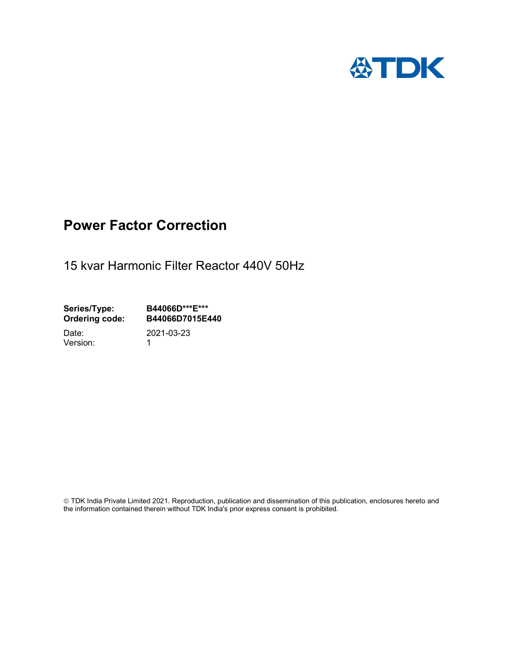

# Power Factor Correction

15 kvar Harmonic Filter Reactor 440V 50Hz

Series/Type: B44066D\*\*\*E\*\*\*<br>Ordering code: B44066D7015E4 B44066D7015E440

Version: 1

Date: 2021-03-23

 TDK India Private Limited 2021. Reproduction, publication and dissemination of this publication, enclosures hereto and the information contained therein without TDK India's prior express consent is prohibited.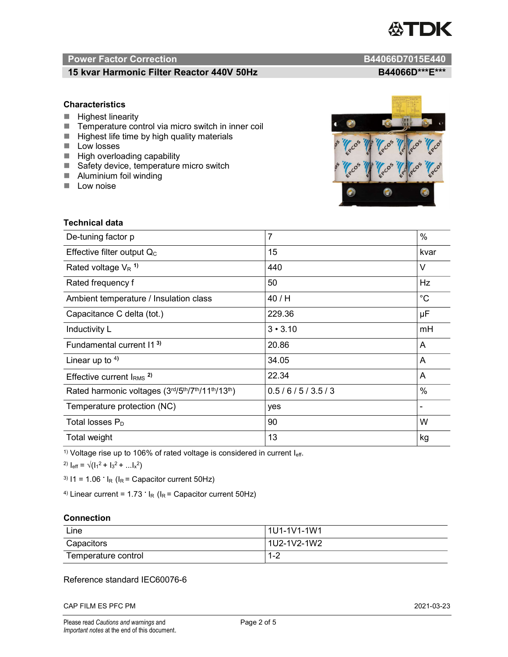

# Power Factor Correction and Content of the Content of the B44066D7015E440

# 15 kvar Harmonic Filter Reactor 440V 50Hz B44066D\*\*\*E\*\*\*

### **Characteristics**

- $H$  Highest linearity
- Temperature control via micro switch in inner coil
- $\blacksquare$  Highest life time by high quality materials
- **Low losses**
- $\blacksquare$  High overloading capability
- Safety device, temperature micro switch
- **Aluminium foil winding**
- **Low noise**



| <b>Technical data</b>                           |                |             |  |
|-------------------------------------------------|----------------|-------------|--|
| De-tuning factor p                              | $\overline{7}$ | $\%$        |  |
| Effective filter output $Q_C$                   | 15             | kvar        |  |
| Rated voltage $V_R$ <sup>1)</sup>               | 440            | $\vee$      |  |
| Rated frequency f                               | 50             | Hz          |  |
| Ambient temperature / Insulation class          | 40 / H         | $^{\circ}C$ |  |
| Capacitance C delta (tot.)                      | 229.36         | μF          |  |
| Inductivity L                                   | $3 \cdot 3.10$ | mH          |  |
| Fundamental current 11 <sup>3)</sup>            | 20.86          | A           |  |
| Linear up to $4$ )                              | 34.05          | A           |  |
| Effective current $IRMS$ <sup>2)</sup>          | 22.34          | A           |  |
| Rated harmonic voltages (3rd/5th/7th/11th/13th) | 0.5/6/5/3.5/3  | $\%$        |  |
| Temperature protection (NC)                     | yes            |             |  |
| Total losses $P_D$                              | 90             | W           |  |
| Total weight                                    | 13             | kg          |  |

<sup>1)</sup> Voltage rise up to 106% of rated voltage is considered in current  $I_{\text{eff}}$ .

<sup>2)</sup>  $I_{eff} = \sqrt{(I_1^2 + I_3^2 + ... I_x^2)}$ 

<sup>3)</sup>  $11 = 1.06$   $\cdot$   $I_R$  ( $I_R$  = Capacitor current 50Hz)

<sup>4)</sup> Linear current =  $1.73$   $\cdot$  I<sub>R</sub> (I<sub>R</sub> = Capacitor current 50Hz)

### **Connection**

| Line                | l 1U1-1V1-1W1       |
|---------------------|---------------------|
| Capacitors          | l 1U2-1V2-1W2       |
| Temperature control | <u> 4 ຕ</u><br>ے- ا |

## Reference standard IEC60076-6

CAP FILM ES PFC PM 2021-03-23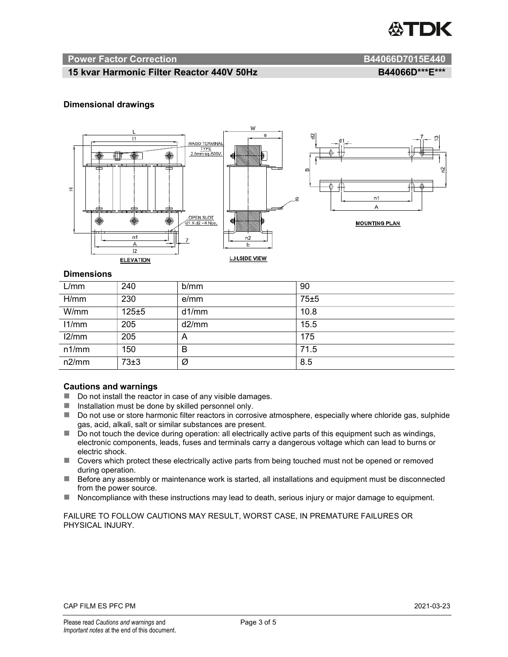

#### Power Factor Correction and B44066D7015E440

# 15 kvar Harmonic Filter Reactor 440V 50Hz BA4066D\*\*\*E\*\*\*

### Dimensional drawings



#### **Dimensions**

| L/mm  | 240       | b/mm  | 90   |
|-------|-----------|-------|------|
| H/mm  | 230       | e/mm  | 75±5 |
| W/mm  | $125 + 5$ | d1/mm | 10.8 |
| 11/mm | 205       | d2/mm | 15.5 |
| 12/mm | 205       | A     | 175  |
| n1/mm | 150       | B     | 71.5 |
| n2/mm | 73±3      | Ø     | 8.5  |

#### Cautions and warnings

- Do not install the reactor in case of any visible damages.
- $\blacksquare$  Installation must be done by skilled personnel only.
- Do not use or store harmonic filter reactors in corrosive atmosphere, especially where chloride gas, sulphide gas, acid, alkali, salt or similar substances are present.
- Do not touch the device during operation: all electrically active parts of this equipment such as windings, electronic components, leads, fuses and terminals carry a dangerous voltage which can lead to burns or electric shock.
- Covers which protect these electrically active parts from being touched must not be opened or removed during operation.
- Before any assembly or maintenance work is started, all installations and equipment must be disconnected from the power source.
- Noncompliance with these instructions may lead to death, serious injury or major damage to equipment.

FAILURE TO FOLLOW CAUTIONS MAY RESULT, WORST CASE, IN PREMATURE FAILURES OR PHYSICAL INJURY.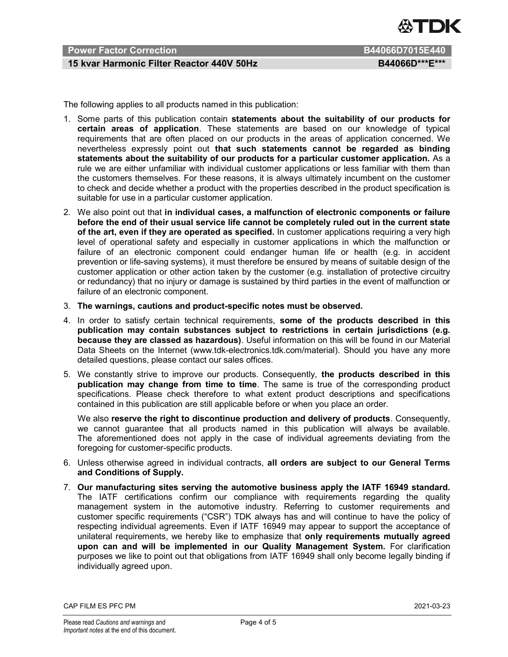

# Power Factor Correction B44066D7015E440

# 15 kvar Harmonic Filter Reactor 440V 50Hz BA4066D\*\*\*E\*\*\*

The following applies to all products named in this publication:

- 1. Some parts of this publication contain statements about the suitability of our products for certain areas of application. These statements are based on our knowledge of typical requirements that are often placed on our products in the areas of application concerned. We nevertheless expressly point out that such statements cannot be regarded as binding statements about the suitability of our products for a particular customer application. As a rule we are either unfamiliar with individual customer applications or less familiar with them than the customers themselves. For these reasons, it is always ultimately incumbent on the customer to check and decide whether a product with the properties described in the product specification is suitable for use in a particular customer application.
- 2. We also point out that in individual cases, a malfunction of electronic components or failure before the end of their usual service life cannot be completely ruled out in the current state of the art, even if they are operated as specified. In customer applications requiring a very high level of operational safety and especially in customer applications in which the malfunction or failure of an electronic component could endanger human life or health (e.g. in accident prevention or life-saving systems), it must therefore be ensured by means of suitable design of the customer application or other action taken by the customer (e.g. installation of protective circuitry or redundancy) that no injury or damage is sustained by third parties in the event of malfunction or failure of an electronic component.
- 3. The warnings, cautions and product-specific notes must be observed.
- 4. In order to satisfy certain technical requirements, some of the products described in this publication may contain substances subject to restrictions in certain jurisdictions (e.g. because they are classed as hazardous). Useful information on this will be found in our Material Data Sheets on the Internet (www.tdk-electronics.tdk.com/material). Should you have any more detailed questions, please contact our sales offices.
- 5. We constantly strive to improve our products. Consequently, the products described in this publication may change from time to time. The same is true of the corresponding product specifications. Please check therefore to what extent product descriptions and specifications contained in this publication are still applicable before or when you place an order.

We also reserve the right to discontinue production and delivery of products. Consequently, we cannot guarantee that all products named in this publication will always be available. The aforementioned does not apply in the case of individual agreements deviating from the foregoing for customer-specific products.

- 6. Unless otherwise agreed in individual contracts, all orders are subject to our General Terms and Conditions of Supply.
- 7. Our manufacturing sites serving the automotive business apply the IATF 16949 standard. The IATF certifications confirm our compliance with requirements regarding the quality management system in the automotive industry. Referring to customer requirements and customer specific requirements ("CSR") TDK always has and will continue to have the policy of respecting individual agreements. Even if IATF 16949 may appear to support the acceptance of unilateral requirements, we hereby like to emphasize that only requirements mutually agreed upon can and will be implemented in our Quality Management System. For clarification purposes we like to point out that obligations from IATF 16949 shall only become legally binding if individually agreed upon.